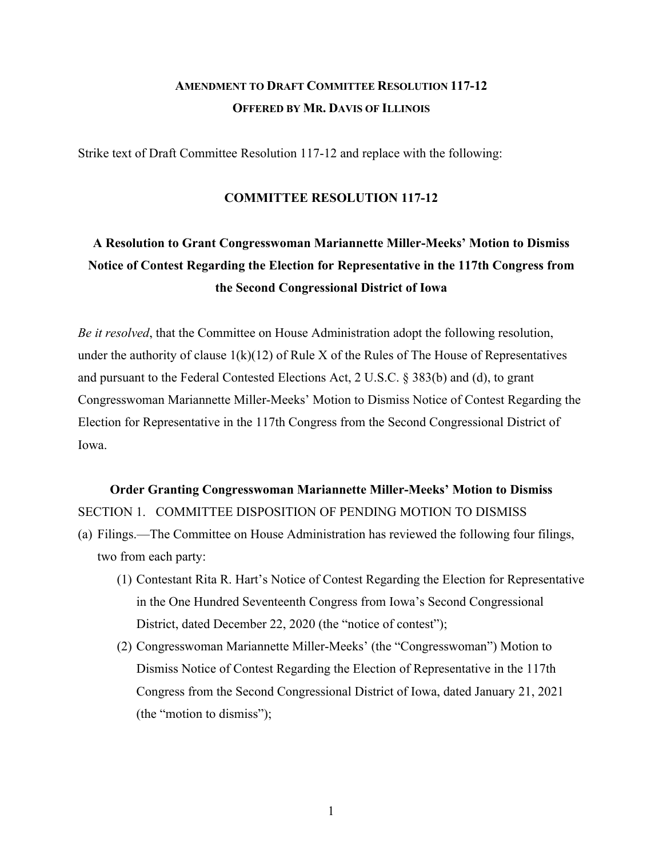## **AMENDMENT TO DRAFT COMMITTEE RESOLUTION 117-12 OFFERED BY MR. DAVIS OF ILLINOIS**

Strike text of Draft Committee Resolution 117-12 and replace with the following:

### **COMMITTEE RESOLUTION 117-12**

# **A Resolution to Grant Congresswoman Mariannette Miller-Meeks' Motion to Dismiss Notice of Contest Regarding the Election for Representative in the 117th Congress from the Second Congressional District of Iowa**

*Be it resolved*, that the Committee on House Administration adopt the following resolution, under the authority of clause  $1(k)(12)$  of Rule X of the Rules of The House of Representatives and pursuant to the Federal Contested Elections Act, 2 U.S.C. § 383(b) and (d), to grant Congresswoman Mariannette Miller-Meeks' Motion to Dismiss Notice of Contest Regarding the Election for Representative in the 117th Congress from the Second Congressional District of Iowa.

### **Order Granting Congresswoman Mariannette Miller-Meeks' Motion to Dismiss** SECTION 1. COMMITTEE DISPOSITION OF PENDING MOTION TO DISMISS

- (a) Filings.—The Committee on House Administration has reviewed the following four filings, two from each party:
	- (1) Contestant Rita R. Hart's Notice of Contest Regarding the Election for Representative in the One Hundred Seventeenth Congress from Iowa's Second Congressional District, dated December 22, 2020 (the "notice of contest");
	- (2) Congresswoman Mariannette Miller-Meeks' (the "Congresswoman") Motion to Dismiss Notice of Contest Regarding the Election of Representative in the 117th Congress from the Second Congressional District of Iowa, dated January 21, 2021 (the "motion to dismiss");